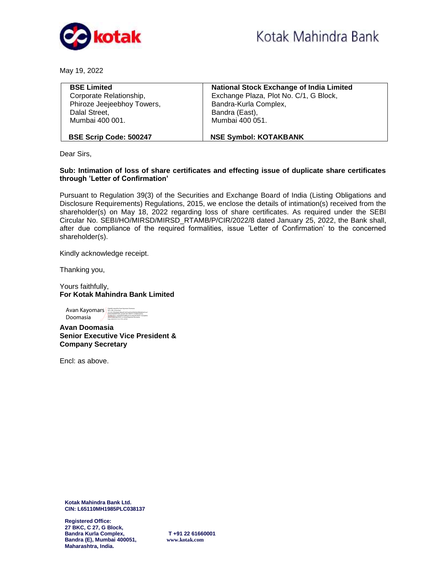

May 19, 2022

| <b>BSE Limited</b>            | <b>National Stock Exchange of India Limited</b> |  |  |  |  |
|-------------------------------|-------------------------------------------------|--|--|--|--|
| Corporate Relationship,       | Exchange Plaza, Plot No. C/1, G Block,          |  |  |  |  |
| Phiroze Jeejeebhoy Towers,    | Bandra-Kurla Complex,                           |  |  |  |  |
| Dalal Street,                 | Bandra (East),                                  |  |  |  |  |
| Mumbai 400 001.               | Mumbai 400 051.                                 |  |  |  |  |
|                               |                                                 |  |  |  |  |
| <b>BSE Scrip Code: 500247</b> | <b>NSE Symbol: KOTAKBANK</b>                    |  |  |  |  |

Dear Sirs,

## **Sub: Intimation of loss of share certificates and effecting issue of duplicate share certificates through 'Letter of Confirmation'**

Pursuant to Regulation 39(3) of the Securities and Exchange Board of India (Listing Obligations and Disclosure Requirements) Regulations, 2015, we enclose the details of intimation(s) received from the shareholder(s) on May 18, 2022 regarding loss of share certificates. As required under the SEBI Circular No. SEBI/HO/MIRSD/MIRSD\_RTAMB/P/CIR/2022/8 dated January 25, 2022, the Bank shall, after due compliance of the required formalities, issue 'Letter of Confirmation' to the concerned shareholder(s).

Kindly acknowledge receipt.

Thanking you,

Yours faithfully, **For Kotak Mahindra Bank Limited** 

Avan Kayomars **Barbara Kayomars Doomasia Avan Kayomars Doomasi**a Barbara Barbara Barbara Barbara Barbara Barbara Barbara Barbara Barbara Barbara Barbara Barbara Barbara Barbara Barbara Barbara Barbara Barbara Barbara Barba Doomasia 2.5.4.20=936426ab16daed316d10ea56e243b60da38d6ae4e7cee1<br>04eba3dabb85f7eb0, postalCode=400019, st=Maharashtra,<br>okkalNumber=c5b4f62f0f274f8ba3c25c2d4a7f47f4d9711b02abf04 DNRGLASSID<br>StripMamb Date: 2022.05.19 16:17:53 +05'30'

**Avan Doomasia Senior Executive Vice President & Company Secretary** 

Encl: as above.

**Kotak Mahindra Bank Ltd. CIN: L65110MH1985PLC038137**

**Registered Office: 27 BKC, C 27, G Block, Bandra Kurla Complex, T +91 22 61660001 Bandra (E), Mumbai 400051, [www.kotak.com](http://www.kotak.com/) Maharashtra, India.**